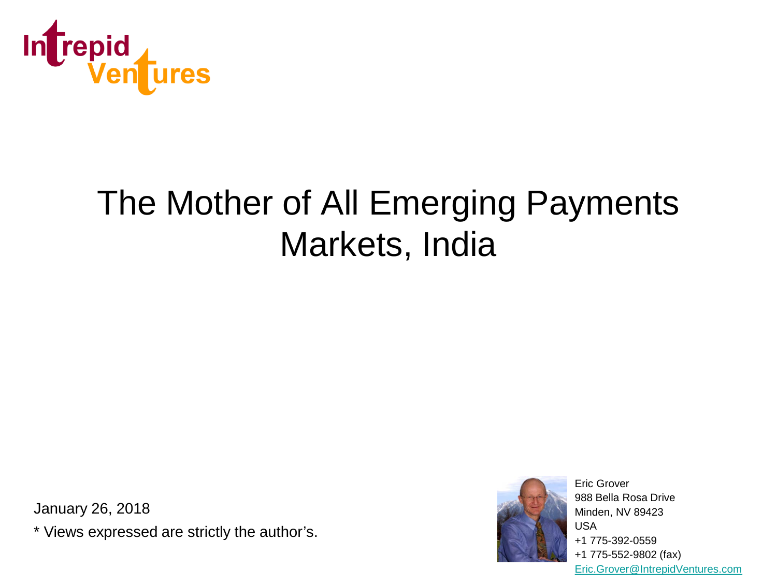

# The Mother of All Emerging Payments Markets, India

January 26, 2018

\* Views expressed are strictly the author's.



Eric Grover 988 Bella Rosa Drive Minden, NV 89423 USA +1 775-392-0559 +1 775-552-9802 (fax) [Eric.Grover@IntrepidVentures.com](mailto:Eric.Grover@IntrepidVentures.com)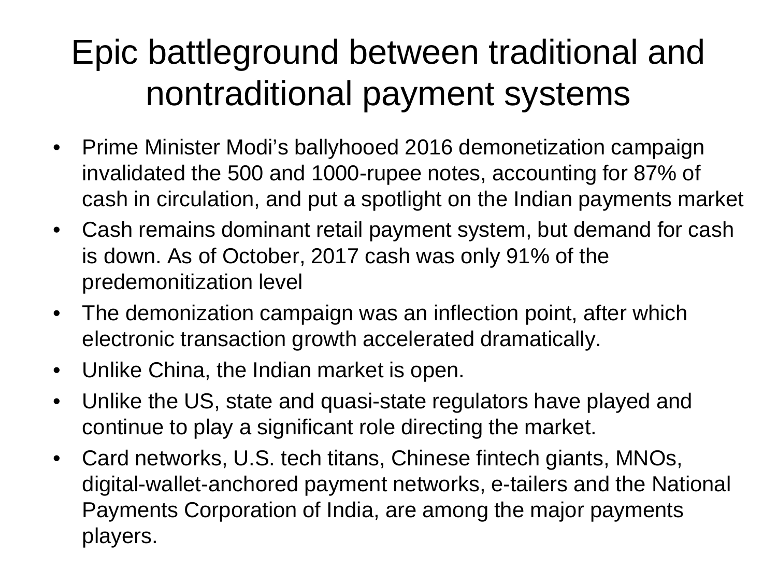# Epic battleground between traditional and nontraditional payment systems

- Prime Minister Modi's ballyhooed 2016 demonetization campaign invalidated the 500 and 1000-rupee notes, accounting for 87% of cash in circulation, and put a spotlight on the Indian payments market
- Cash remains dominant retail payment system, but demand for cash is down. As of October, 2017 cash was only 91% of the predemonitization level
- The demonization campaign was an inflection point, after which electronic transaction growth accelerated dramatically.
- Unlike China, the Indian market is open.
- Unlike the US, state and quasi-state regulators have played and continue to play a significant role directing the market.
- Card networks, U.S. tech titans, Chinese fintech giants, MNOs, digital-wallet-anchored payment networks, e-tailers and the National Payments Corporation of India, are among the major payments players.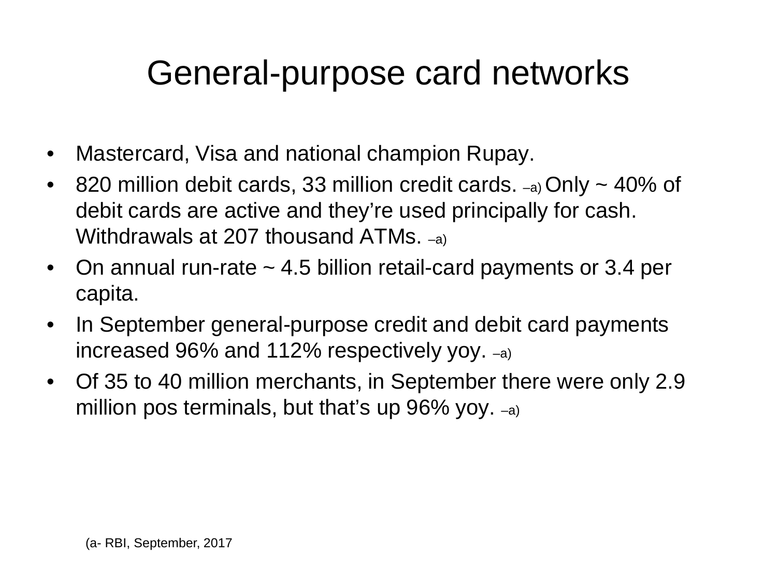### General-purpose card networks

- Mastercard, Visa and national champion Rupay.
- 820 million debit cards, 33 million credit cards.  $\sim$ a Only  $\sim$  40% of debit cards are active and they're used principally for cash. Withdrawals at 207 thousand ATMs. –a)
- On annual run-rate ~ 4.5 billion retail-card payments or 3.4 per capita.
- In September general-purpose credit and debit card payments increased 96% and 112% respectively yoy. –a)
- Of 35 to 40 million merchants, in September there were only 2.9 million pos terminals, but that's up  $96\%$  yoy.  $-a$ )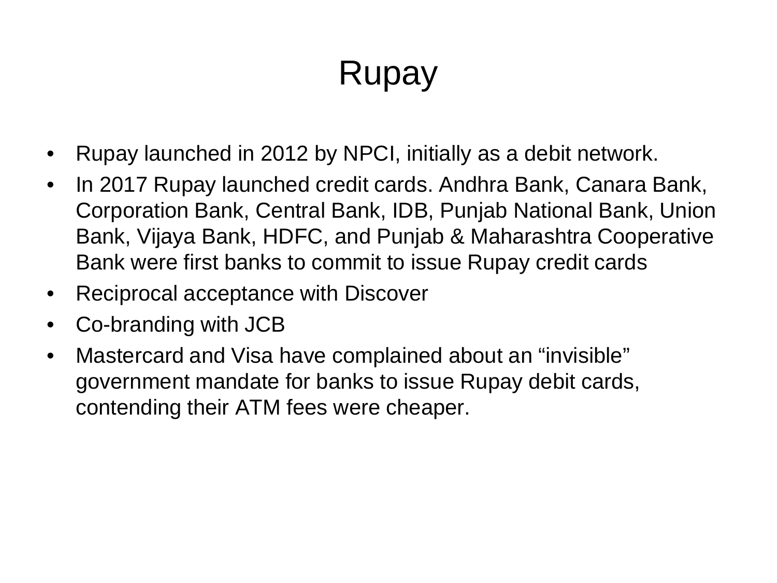### Rupay

- Rupay launched in 2012 by NPCI, initially as a debit network.
- In 2017 Rupay launched credit cards. Andhra Bank, Canara Bank, Corporation Bank, Central Bank, IDB, Punjab National Bank, Union Bank, Vijaya Bank, HDFC, and Punjab & Maharashtra Cooperative Bank were first banks to commit to issue Rupay credit cards
- Reciprocal acceptance with Discover
- Co-branding with JCB
- Mastercard and Visa have complained about an "invisible" government mandate for banks to issue Rupay debit cards, contending their ATM fees were cheaper.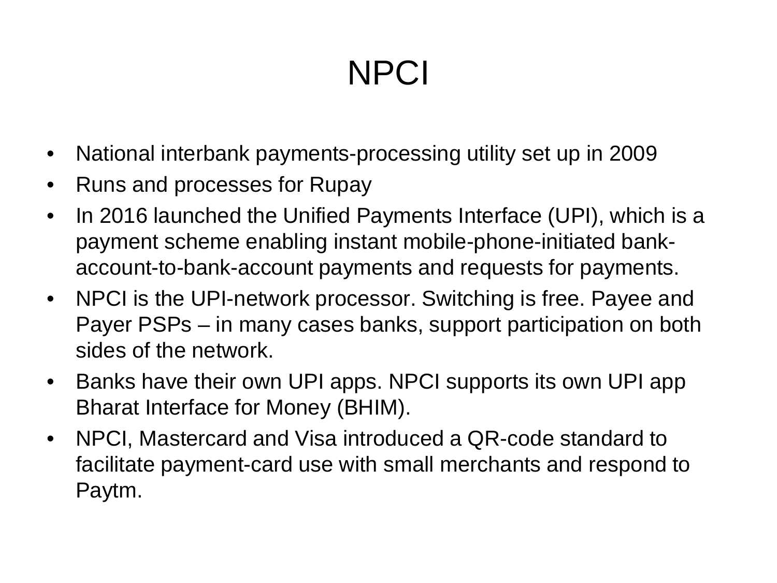# **NPCI**

- National interbank payments-processing utility set up in 2009
- Runs and processes for Rupay
- In 2016 launched the Unified Payments Interface (UPI), which is a payment scheme enabling instant mobile-phone-initiated bankaccount-to-bank-account payments and requests for payments.
- NPCI is the UPI-network processor. Switching is free. Payee and Payer PSPs – in many cases banks, support participation on both sides of the network.
- Banks have their own UPI apps. NPCI supports its own UPI app Bharat Interface for Money (BHIM).
- NPCI, Mastercard and Visa introduced a QR-code standard to facilitate payment-card use with small merchants and respond to Paytm.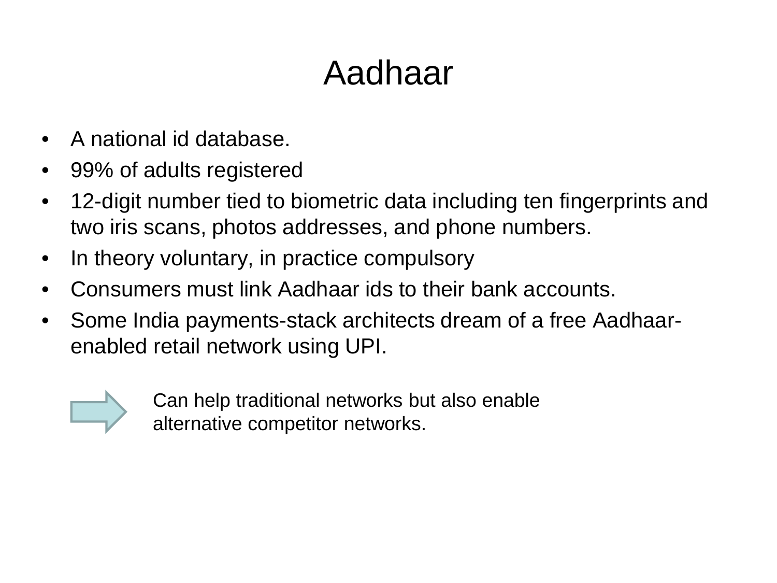### Aadhaar

- A national id database.
- 99% of adults registered
- 12-digit number tied to biometric data including ten fingerprints and two iris scans, photos addresses, and phone numbers.
- In theory voluntary, in practice compulsory
- Consumers must link Aadhaar ids to their bank accounts.
- Some India payments-stack architects dream of a free Aadhaarenabled retail network using UPI.



Can help traditional networks but also enable alternative competitor networks.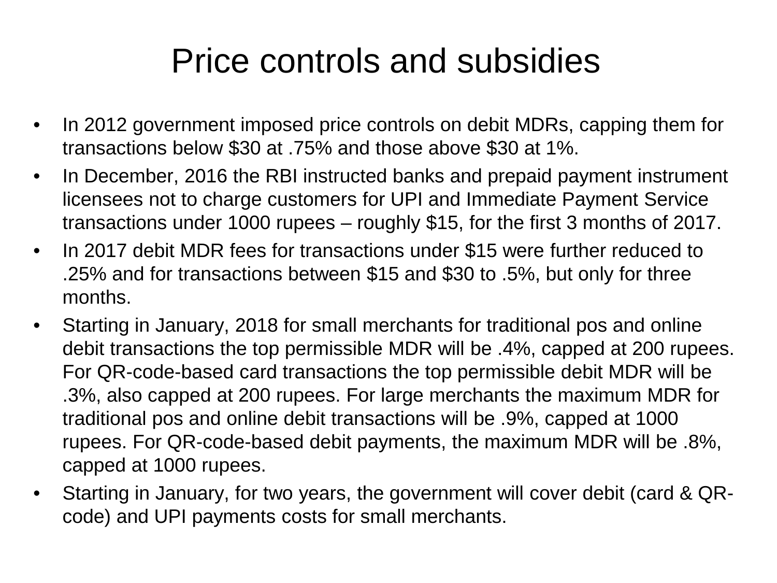### Price controls and subsidies

- In 2012 government imposed price controls on debit MDRs, capping them for transactions below \$30 at .75% and those above \$30 at 1%.
- In December, 2016 the RBI instructed banks and prepaid payment instrument licensees not to charge customers for UPI and Immediate Payment Service transactions under 1000 rupees – roughly \$15, for the first 3 months of 2017.
- In 2017 debit MDR fees for transactions under \$15 were further reduced to .25% and for transactions between \$15 and \$30 to .5%, but only for three months.
- Starting in January, 2018 for small merchants for traditional pos and online debit transactions the top permissible MDR will be .4%, capped at 200 rupees. For QR-code-based card transactions the top permissible debit MDR will be .3%, also capped at 200 rupees. For large merchants the maximum MDR for traditional pos and online debit transactions will be .9%, capped at 1000 rupees. For QR-code-based debit payments, the maximum MDR will be .8%, capped at 1000 rupees.
- Starting in January, for two years, the government will cover debit (card & QRcode) and UPI payments costs for small merchants.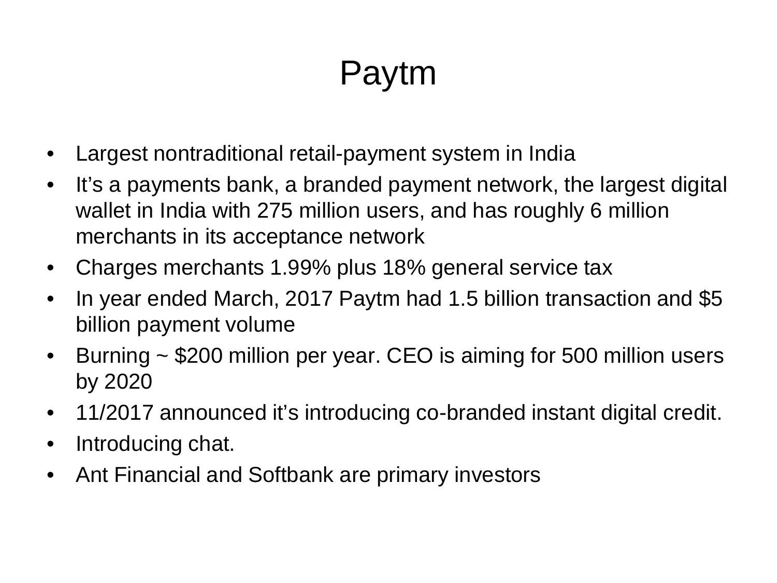# Paytm

- Largest nontraditional retail-payment system in India
- It's a payments bank, a branded payment network, the largest digital wallet in India with 275 million users, and has roughly 6 million merchants in its acceptance network
- Charges merchants 1.99% plus 18% general service tax
- In year ended March, 2017 Paytm had 1.5 billion transaction and \$5 billion payment volume
- Burning ~ \$200 million per year. CEO is aiming for 500 million users by 2020
- 11/2017 announced it's introducing co-branded instant digital credit.
- Introducing chat.
- Ant Financial and Softbank are primary investors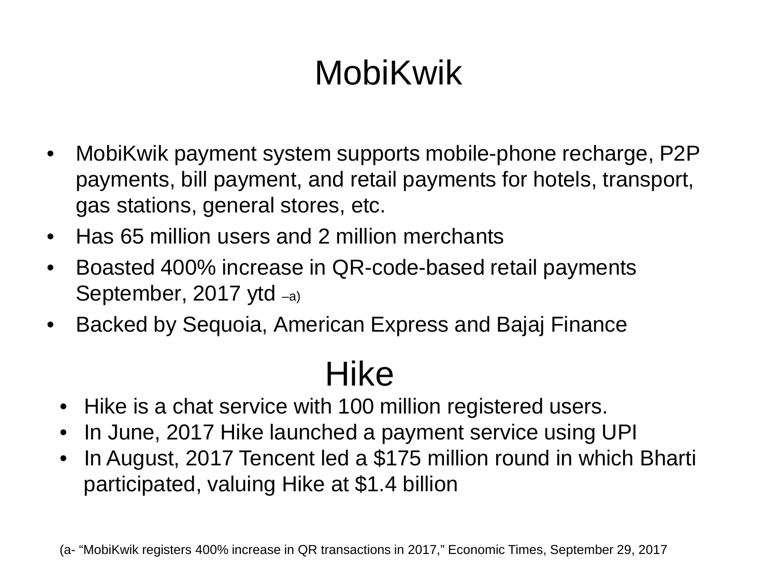# MobiKwik

- MobiKwik payment system supports mobile-phone recharge, P2P payments, bill payment, and retail payments for hotels, transport, gas stations, general stores, etc.
- Has 65 million users and 2 million merchants
- Boasted 400% increase in QR-code-based retail payments September, 2017 ytd –a)
- Backed by Sequoia, American Express and Bajaj Finance

### Hike

- Hike is a chat service with 100 million registered users.
- In June, 2017 Hike launched a payment service using UPI
- In August, 2017 Tencent led a \$175 million round in which Bharti participated, valuing Hike at \$1.4 billion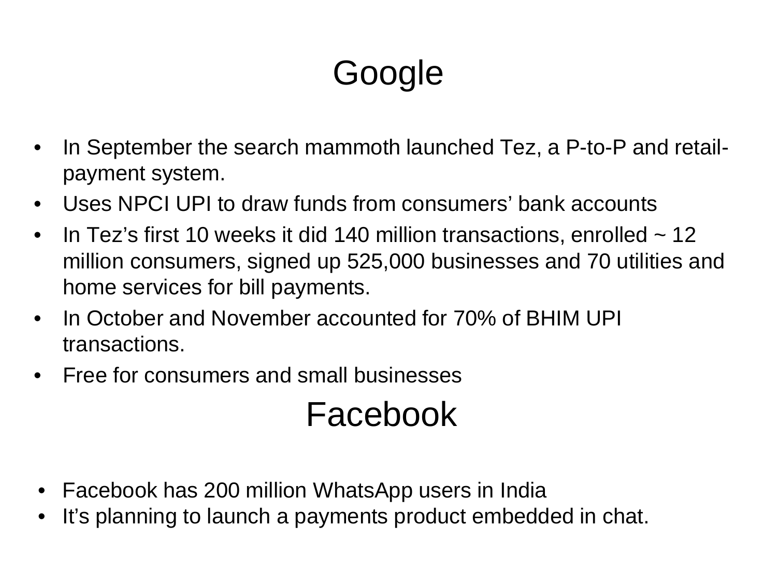# Google

- In September the search mammoth launched Tez, a P-to-P and retailpayment system.
- Uses NPCI UPI to draw funds from consumers' bank accounts
- In Tez's first 10 weeks it did 140 million transactions, enrolled  $\sim$  12 million consumers, signed up 525,000 businesses and 70 utilities and home services for bill payments.
- In October and November accounted for 70% of BHIM UPI transactions.
- Free for consumers and small businesses

### Facebook

- Facebook has 200 million WhatsApp users in India
- It's planning to launch a payments product embedded in chat.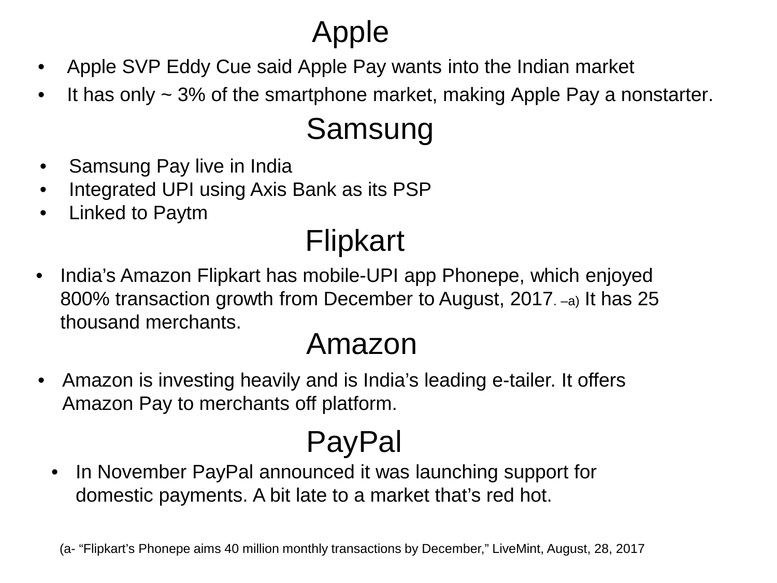#### Apple

- Apple SVP Eddy Cue said Apple Pay wants into the Indian market
- It has only  $\sim$  3% of the smartphone market, making Apple Pay a nonstarter.

#### Samsung

- Samsung Pay live in India
- Integrated UPI using Axis Bank as its PSP
- Linked to Paytm

#### Flipkart

• India's Amazon Flipkart has mobile-UPI app Phonepe, which enjoyed 800% transaction growth from December to August, 2017. –a) It has 25 thousand merchants.

#### Amazon

• Amazon is investing heavily and is India's leading e-tailer. It offers Amazon Pay to merchants off platform.

## PayPal

In November PayPal announced it was launching support for domestic payments. A bit late to a market that's red hot.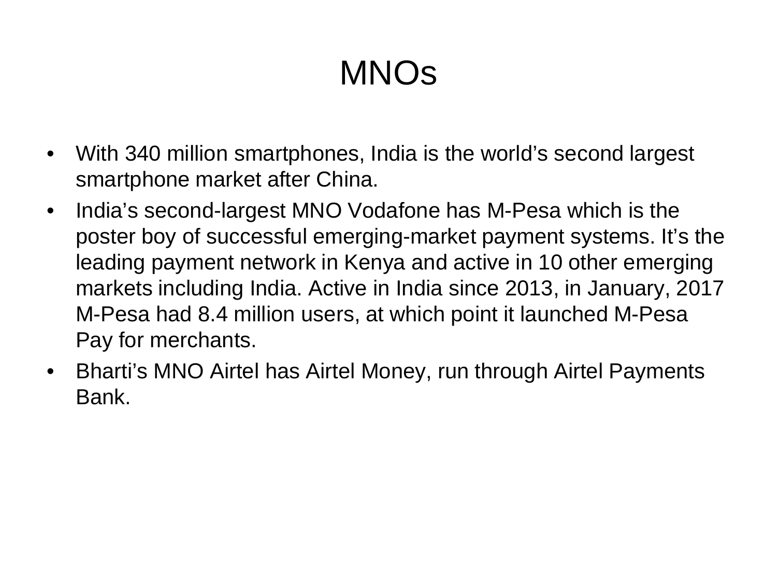# MNOs

- With 340 million smartphones, India is the world's second largest smartphone market after China.
- India's second-largest MNO Vodafone has M-Pesa which is the poster boy of successful emerging-market payment systems. It's the leading payment network in Kenya and active in 10 other emerging markets including India. Active in India since 2013, in January, 2017 M-Pesa had 8.4 million users, at which point it launched M-Pesa Pay for merchants.
- Bharti's MNO Airtel has Airtel Money, run through Airtel Payments Bank.